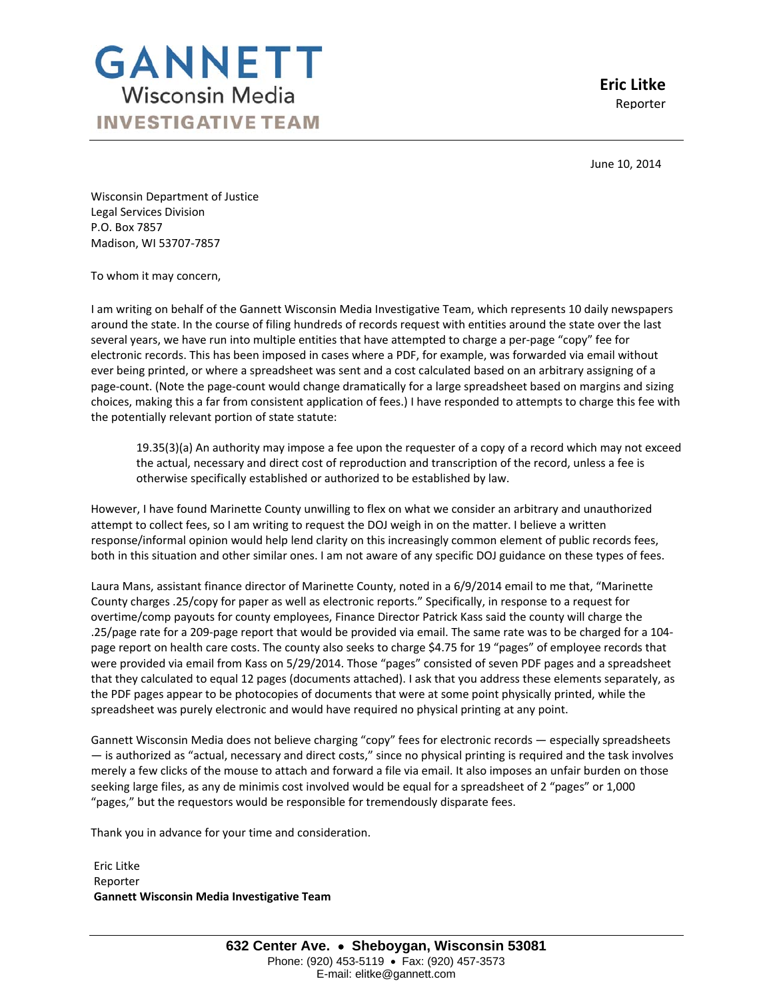

**Eric Litke** Reporter

 June 10, 2014

Wisconsin Department of Justice Legal Services Division P.O. Box 7857 Madison, WI 53707‐7857

To whom it may concern,

I am writing on behalf of the Gannett Wisconsin Media Investigative Team, which represents 10 daily newspapers around the state. In the course of filing hundreds of records request with entities around the state over the last several years, we have run into multiple entities that have attempted to charge a per-page "copy" fee for electronic records. This has been imposed in cases where a PDF, for example, was forwarded via email without ever being printed, or where a spreadsheet was sent and a cost calculated based on an arbitrary assigning of a page‐count. (Note the page‐count would change dramatically for a large spreadsheet based on margins and sizing choices, making this a far from consistent application of fees.) I have responded to attempts to charge this fee with the potentially relevant portion of state statute:

19.35(3)(a) An authority may impose a fee upon the requester of a copy of a record which may not exceed the actual, necessary and direct cost of reproduction and transcription of the record, unless a fee is otherwise specifically established or authorized to be established by law.

However, I have found Marinette County unwilling to flex on what we consider an arbitrary and unauthorized attempt to collect fees, so I am writing to request the DOJ weigh in on the matter. I believe a written response/informal opinion would help lend clarity on this increasingly common element of public records fees, both in this situation and other similar ones. I am not aware of any specific DOJ guidance on these types of fees.

Laura Mans, assistant finance director of Marinette County, noted in a 6/9/2014 email to me that, "Marinette County charges .25/copy for paper as well as electronic reports." Specifically, in response to a request for overtime/comp payouts for county employees, Finance Director Patrick Kass said the county will charge the .25/page rate for a 209‐page report that would be provided via email. The same rate was to be charged for a 104‐ page report on health care costs. The county also seeks to charge \$4.75 for 19 "pages" of employee records that were provided via email from Kass on 5/29/2014. Those "pages" consisted of seven PDF pages and a spreadsheet that they calculated to equal 12 pages (documents attached). I ask that you address these elements separately, as the PDF pages appear to be photocopies of documents that were at some point physically printed, while the spreadsheet was purely electronic and would have required no physical printing at any point.

Gannett Wisconsin Media does not believe charging "copy" fees for electronic records — especially spreadsheets — is authorized as "actual, necessary and direct costs," since no physical printing is required and the task involves merely a few clicks of the mouse to attach and forward a file via email. It also imposes an unfair burden on those seeking large files, as any de minimis cost involved would be equal for a spreadsheet of 2 "pages" or 1,000 "pages," but the requestors would be responsible for tremendously disparate fees.

Thank you in advance for your time and consideration.

Eric Litke Reporter **Gannett Wisconsin Media Investigative Team**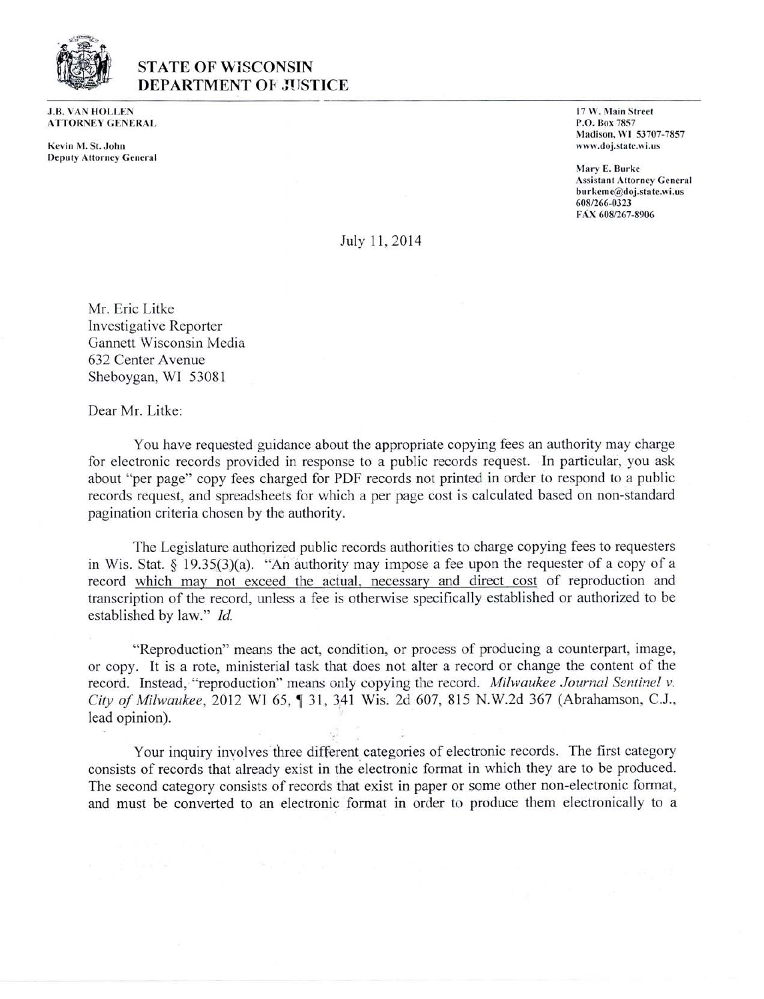

## **STATE OF WISCONSIN DEPARTMENT OF JUSTICE**

**J.B. VAN HOLLEN ATTORNEY GENERAL** 

Kevin M. St. John **Deputy Attorney General**  17 W. Main Street P.O. Box 7857 Madison, W1 53707-7857 www.doj.state.wi.us

Mary E. Burke **Assistant Attorney General** burkeme@doj.state.wi.us 608/266-0323 FÁX 608/267-8906

July 11, 2014

Mr. Eric Litke **Investigative Reporter** Gannett Wisconsin Media 632 Center Avenue Sheboygan, WI 53081

Dear Mr. Litke:

You have requested guidance about the appropriate copying fees an authority may charge for electronic records provided in response to a public records request. In particular, you ask about "per page" copy fees charged for PDF records not printed in order to respond to a public records request, and spreadsheets for which a per page cost is calculated based on non-standard pagination criteria chosen by the authority.

The Legislature authorized public records authorities to charge copying fees to requesters in Wis. Stat. § 19.35(3)(a). "An authority may impose a fee upon the requester of a copy of a record which may not exceed the actual, necessary and direct cost of reproduction and transcription of the record, unless a fee is otherwise specifically established or authorized to be established by law." Id.

"Reproduction" means the act, condition, or process of producing a counterpart, image, or copy. It is a rote, ministerial task that does not alter a record or change the content of the record. Instead, "reproduction" means only copying the record. Milwaukee Journal Sentinel v. City of Milwaukee, 2012 WI 65, 1 31, 341 Wis. 2d 607, 815 N.W.2d 367 (Abrahamson, C.J., lead opinion).

Your inquiry involves three different categories of electronic records. The first category consists of records that already exist in the electronic format in which they are to be produced. The second category consists of records that exist in paper or some other non-electronic format, and must be converted to an electronic format in order to produce them electronically to a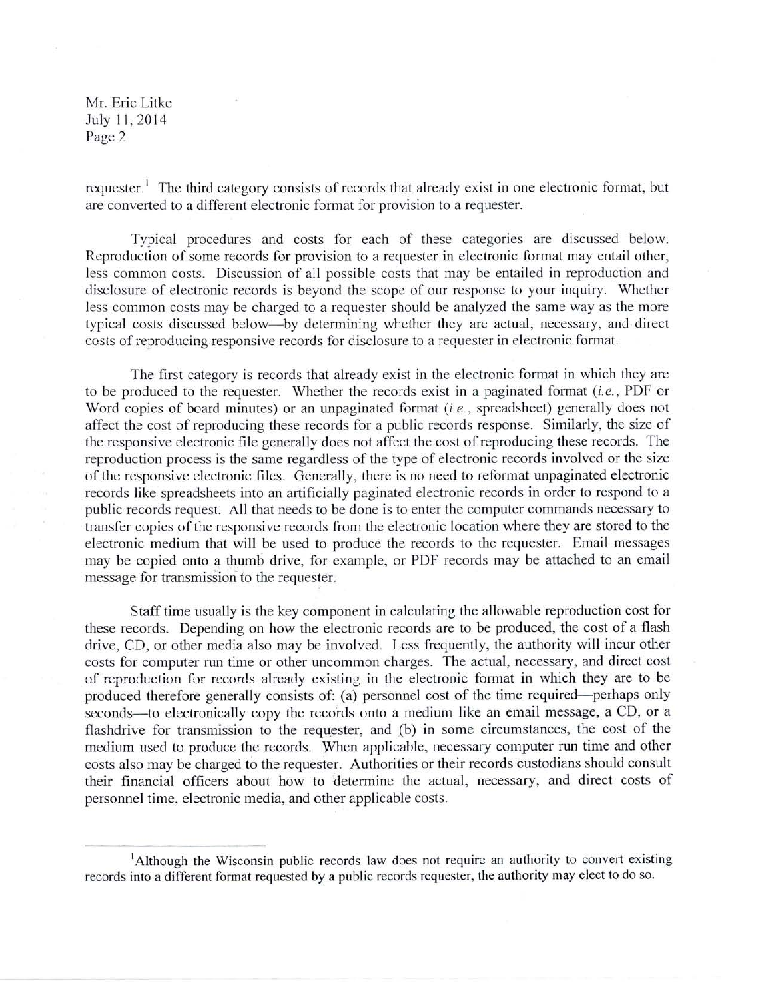Mr. Eric Litke July 11, 2014 Page 2

requester.<sup>1</sup> The third category consists of records that already exist in one electronic format, but are converted to a different electronic format for provision to a requester.

Typical procedures and costs for each of these categories are discussed below. Reproduction of some records for provision to a requester in electronic format may entail other, less common costs. Discussion of all possible costs that may be entailed in reproduction and disclosure of electronic records is beyond the scope of our response to your inquiry. Whether less common costs may be charged to a requester should be analyzed the same way as the more typical costs discussed below—by determining whether they are actual, necessary, and direct costs of reproducing responsive records for disclosure to a requester in electronic format.

The first category is records that already exist in the electronic format in which they are to be produced to the requester. Whether the records exist in a paginated format (i.e., PDF or Word copies of board minutes) or an unpaginated format (i.e., spreadsheet) generally does not affect the cost of reproducing these records for a public records response. Similarly, the size of the responsive electronic file generally does not affect the cost of reproducing these records. The reproduction process is the same regardless of the type of electronic records involved or the size of the responsive electronic files. Generally, there is no need to reformat unpaginated electronic records like spreadsheets into an artificially paginated electronic records in order to respond to a public records request. All that needs to be done is to enter the computer commands necessary to transfer copies of the responsive records from the electronic location where they are stored to the electronic medium that will be used to produce the records to the requester. Email messages may be copied onto a thumb drive, for example, or PDF records may be attached to an email message for transmission to the requester.

Staff time usually is the key component in calculating the allowable reproduction cost for these records. Depending on how the electronic records are to be produced, the cost of a flash drive, CD, or other media also may be involved. Less frequently, the authority will incur other costs for computer run time or other uncommon charges. The actual, necessary, and direct cost of reproduction for records already existing in the electronic format in which they are to be produced therefore generally consists of: (a) personnel cost of the time required—perhaps only seconds—to electronically copy the records onto a medium like an email message, a CD, or a flashdrive for transmission to the requester, and (b) in some circumstances, the cost of the medium used to produce the records. When applicable, necessary computer run time and other costs also may be charged to the requester. Authorities or their records custodians should consult their financial officers about how to determine the actual, necessary, and direct costs of personnel time, electronic media, and other applicable costs.

<sup>&</sup>lt;sup>1</sup>Although the Wisconsin public records law does not require an authority to convert existing records into a different format requested by a public records requester, the authority may elect to do so.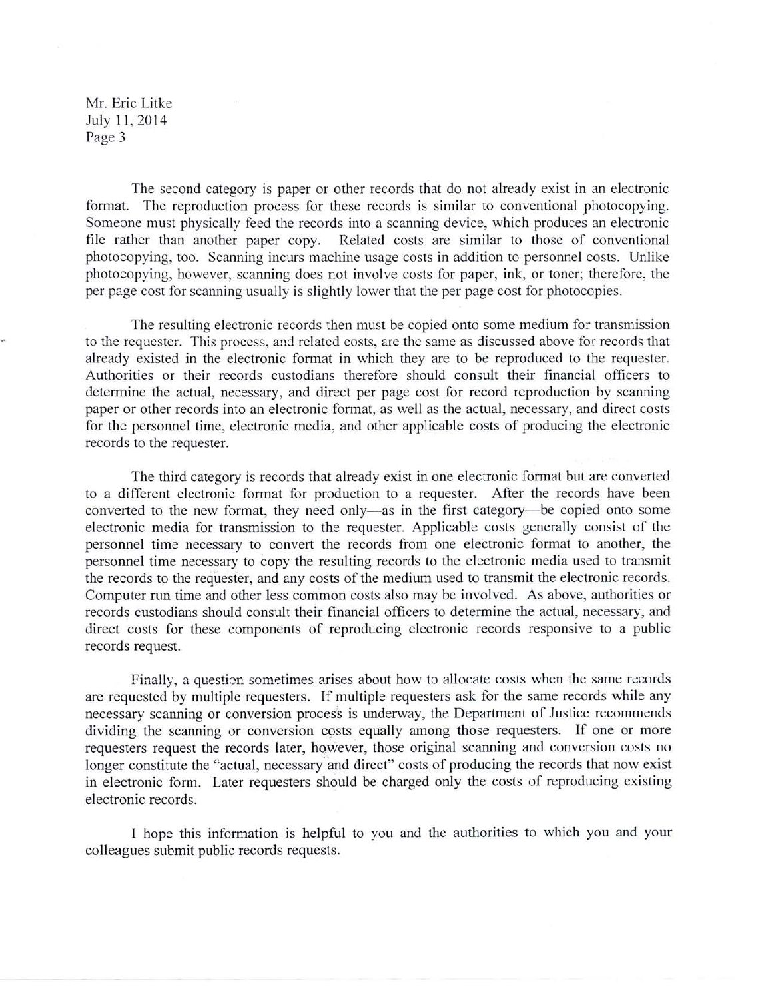Mr. Eric Litke July 11, 2014 Page 3

The second category is paper or other records that do not already exist in an electronic format. The reproduction process for these records is similar to conventional photocopying. Someone must physically feed the records into a scanning device, which produces an electronic file rather than another paper copy. Related costs are similar to those of conventional photocopying, too. Scanning incurs machine usage costs in addition to personnel costs. Unlike photocopying, however, scanning does not involve costs for paper, ink, or toner; therefore, the per page cost for scanning usually is slightly lower that the per page cost for photocopies.

The resulting electronic records then must be copied onto some medium for transmission to the requester. This process, and related costs, are the same as discussed above for records that already existed in the electronic format in which they are to be reproduced to the requester. Authorities or their records custodians therefore should consult their financial officers to determine the actual, necessary, and direct per page cost for record reproduction by scanning paper or other records into an electronic format, as well as the actual, necessary, and direct costs for the personnel time, electronic media, and other applicable costs of producing the electronic records to the requester.

The third category is records that already exist in one electronic format but are converted to a different electronic format for production to a requester. After the records have been converted to the new format, they need only—as in the first category—be copied onto some electronic media for transmission to the requester. Applicable costs generally consist of the personnel time necessary to convert the records from one electronic format to another, the personnel time necessary to copy the resulting records to the electronic media used to transmit the records to the requester, and any costs of the medium used to transmit the electronic records. Computer run time and other less common costs also may be involved. As above, authorities or records custodians should consult their financial officers to determine the actual, necessary, and direct costs for these components of reproducing electronic records responsive to a public records request.

Finally, a question sometimes arises about how to allocate costs when the same records are requested by multiple requesters. If multiple requesters ask for the same records while any necessary scanning or conversion process is underway, the Department of Justice recommends dividing the scanning or conversion costs equally among those requesters. If one or more requesters request the records later, however, those original scanning and conversion costs no longer constitute the "actual, necessary and direct" costs of producing the records that now exist in electronic form. Later requesters should be charged only the costs of reproducing existing electronic records.

I hope this information is helpful to you and the authorities to which you and your colleagues submit public records requests.